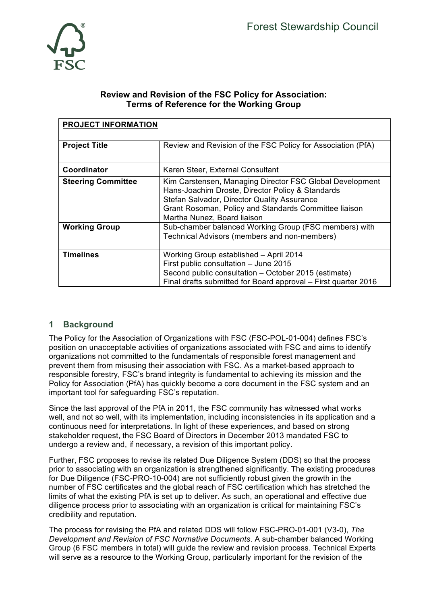

### **Review and Revision of the FSC Policy for Association: Terms of Reference for the Working Group**

| <b>PROJECT INFORMATION</b> |                                                                                                                                                                                                                                                     |
|----------------------------|-----------------------------------------------------------------------------------------------------------------------------------------------------------------------------------------------------------------------------------------------------|
| <b>Project Title</b>       | Review and Revision of the FSC Policy for Association (PfA)                                                                                                                                                                                         |
| Coordinator                | Karen Steer, External Consultant                                                                                                                                                                                                                    |
| <b>Steering Committee</b>  | Kim Carstensen, Managing Director FSC Global Development<br>Hans-Joachim Droste, Director Policy & Standards<br>Stefan Salvador, Director Quality Assurance<br>Grant Rosoman, Policy and Standards Committee liaison<br>Martha Nunez, Board liaison |
| <b>Working Group</b>       | Sub-chamber balanced Working Group (FSC members) with<br>Technical Advisors (members and non-members)                                                                                                                                               |
| <b>Timelines</b>           | Working Group established - April 2014<br>First public consultation - June 2015<br>Second public consultation - October 2015 (estimate)<br>Final drafts submitted for Board approval - First quarter 2016                                           |

# **1 Background**

The Policy for the Association of Organizations with FSC (FSC-POL-01-004) defines FSC's position on unacceptable activities of organizations associated with FSC and aims to identify organizations not committed to the fundamentals of responsible forest management and prevent them from misusing their association with FSC. As a market-based approach to responsible forestry, FSC's brand integrity is fundamental to achieving its mission and the Policy for Association (PfA) has quickly become a core document in the FSC system and an important tool for safeguarding FSC's reputation.

Since the last approval of the PfA in 2011, the FSC community has witnessed what works well, and not so well, with its implementation, including inconsistencies in its application and a continuous need for interpretations. In light of these experiences, and based on strong stakeholder request, the FSC Board of Directors in December 2013 mandated FSC to undergo a review and, if necessary, a revision of this important policy.

Further, FSC proposes to revise its related Due Diligence System (DDS) so that the process prior to associating with an organization is strengthened significantly. The existing procedures for Due Diligence (FSC-PRO-10-004) are not sufficiently robust given the growth in the number of FSC certificates and the global reach of FSC certification which has stretched the limits of what the existing PfA is set up to deliver. As such, an operational and effective due diligence process prior to associating with an organization is critical for maintaining FSC's credibility and reputation.

The process for revising the PfA and related DDS will follow FSC-PRO-01-001 (V3-0), *The Development and Revision of FSC Normative Documents*. A sub-chamber balanced Working Group (6 FSC members in total) will guide the review and revision process. Technical Experts will serve as a resource to the Working Group, particularly important for the revision of the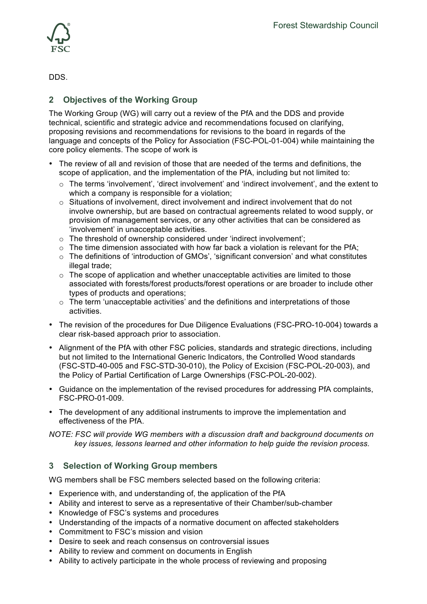

DDS.

# **2 Objectives of the Working Group**

The Working Group (WG) will carry out a review of the PfA and the DDS and provide technical, scientific and strategic advice and recommendations focused on clarifying, proposing revisions and recommendations for revisions to the board in regards of the language and concepts of the Policy for Association (FSC-POL-01-004) while maintaining the core policy elements. The scope of work is

- The review of all and revision of those that are needed of the terms and definitions, the scope of application, and the implementation of the PfA, including but not limited to:
	- o The terms 'involvement', 'direct involvement' and 'indirect involvement', and the extent to which a company is responsible for a violation;
	- $\circ$  Situations of involvement, direct involvement and indirect involvement that do not involve ownership, but are based on contractual agreements related to wood supply, or provision of management services, or any other activities that can be considered as 'involvement' in unacceptable activities.
	- $\circ$  The threshold of ownership considered under 'indirect involvement':
	- $\circ$  The time dimension associated with how far back a violation is relevant for the PfA;
	- $\circ$  The definitions of 'introduction of GMOs', 'significant conversion' and what constitutes illegal trade;
	- $\circ$  The scope of application and whether unacceptable activities are limited to those associated with forests/forest products/forest operations or are broader to include other types of products and operations;
	- o The term 'unacceptable activities' and the definitions and interpretations of those activities.
- The revision of the procedures for Due Diligence Evaluations (FSC-PRO-10-004) towards a clear risk-based approach prior to association.
- Alignment of the PfA with other FSC policies, standards and strategic directions, including but not limited to the International Generic Indicators, the Controlled Wood standards (FSC-STD-40-005 and FSC-STD-30-010), the Policy of Excision (FSC-POL-20-003), and the Policy of Partial Certification of Large Ownerships (FSC-POL-20-002).
- Guidance on the implementation of the revised procedures for addressing PfA complaints, FSC-PRO-01-009.
- The development of any additional instruments to improve the implementation and effectiveness of the PfA.

*NOTE: FSC will provide WG members with a discussion draft and background documents on key issues, lessons learned and other information to help guide the revision process.* 

#### **3 Selection of Working Group members**

WG members shall be FSC members selected based on the following criteria:

- Experience with, and understanding of, the application of the PfA
- Ability and interest to serve as a representative of their Chamber/sub-chamber
- Knowledge of FSC's systems and procedures
- Understanding of the impacts of a normative document on affected stakeholders
- Commitment to FSC's mission and vision
- Desire to seek and reach consensus on controversial issues
- Ability to review and comment on documents in English
- Ability to actively participate in the whole process of reviewing and proposing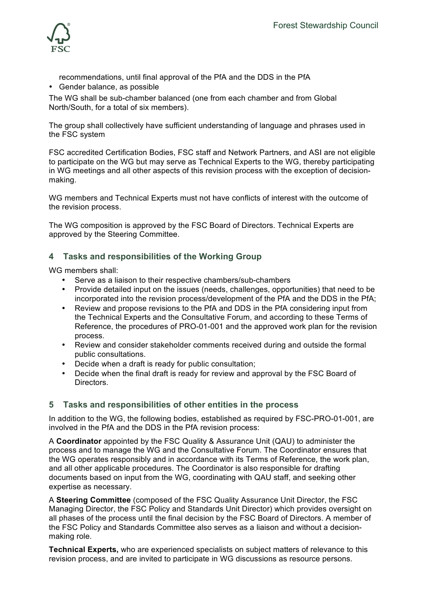

- recommendations, until final approval of the PfA and the DDS in the PfA • Gender balance, as possible
- The WG shall be sub-chamber balanced (one from each chamber and from Global North/South, for a total of six members).

The group shall collectively have sufficient understanding of language and phrases used in the FSC system

FSC accredited Certification Bodies, FSC staff and Network Partners, and ASI are not eligible to participate on the WG but may serve as Technical Experts to the WG, thereby participating in WG meetings and all other aspects of this revision process with the exception of decisionmaking.

WG members and Technical Experts must not have conflicts of interest with the outcome of the revision process.

The WG composition is approved by the FSC Board of Directors. Technical Experts are approved by the Steering Committee.

## **4 Tasks and responsibilities of the Working Group**

WG members shall:

- Serve as a liaison to their respective chambers/sub-chambers
- Provide detailed input on the issues (needs, challenges, opportunities) that need to be incorporated into the revision process/development of the PfA and the DDS in the PfA;
- Review and propose revisions to the PfA and DDS in the PfA considering input from the Technical Experts and the Consultative Forum, and according to these Terms of Reference, the procedures of PRO-01-001 and the approved work plan for the revision process.
- Review and consider stakeholder comments received during and outside the formal public consultations.
- Decide when a draft is ready for public consultation;
- Decide when the final draft is ready for review and approval by the FSC Board of **Directors**

#### **5 Tasks and responsibilities of other entities in the process**

In addition to the WG, the following bodies, established as required by FSC-PRO-01-001, are involved in the PfA and the DDS in the PfA revision process:

A **Coordinator** appointed by the FSC Quality & Assurance Unit (QAU) to administer the process and to manage the WG and the Consultative Forum. The Coordinator ensures that the WG operates responsibly and in accordance with its Terms of Reference, the work plan, and all other applicable procedures. The Coordinator is also responsible for drafting documents based on input from the WG, coordinating with QAU staff, and seeking other expertise as necessary.

A **Steering Committee** (composed of the FSC Quality Assurance Unit Director, the FSC Managing Director, the FSC Policy and Standards Unit Director) which provides oversight on all phases of the process until the final decision by the FSC Board of Directors. A member of the FSC Policy and Standards Committee also serves as a liaison and without a decisionmaking role.

**Technical Experts,** who are experienced specialists on subject matters of relevance to this revision process, and are invited to participate in WG discussions as resource persons.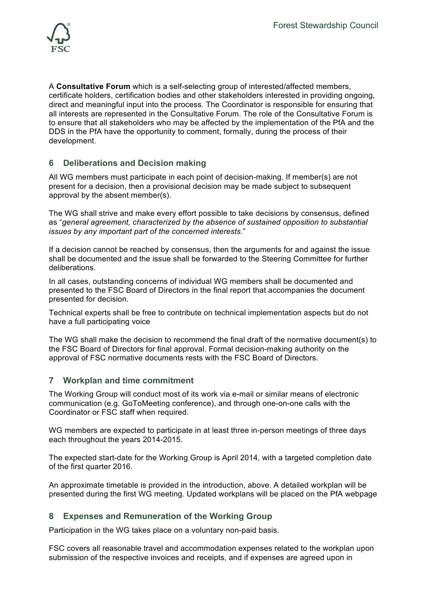

A **Consultative Forum** which is a self-selecting group of interested/affected members, certificate holders, certification bodies and other stakeholders interested in providing ongoing, direct and meaningful input into the process. The Coordinator is responsible for ensuring that all interests are represented in the Consultative Forum. The role of the Consultative Forum is to ensure that all stakeholders who may be affected by the implementation of the PfA and the DDS in the PfA have the opportunity to comment, formally, during the process of their development.

#### **6 Deliberations and Decision making**

All WG members must participate in each point of decision-making. If member(s) are not present for a decision, then a provisional decision may be made subject to subsequent approval by the absent member(s).

The WG shall strive and make every effort possible to take decisions by consensus, defined as "*general agreement, characterized by the absence of sustained opposition to substantial issues by any important part of the concerned interests*."

If a decision cannot be reached by consensus, then the arguments for and against the issue shall be documented and the issue shall be forwarded to the Steering Committee for further deliberations.

In all cases, outstanding concerns of individual WG members shall be documented and presented to the FSC Board of Directors in the final report that accompanies the document presented for decision.

Technical experts shall be free to contribute on technical implementation aspects but do not have a full participating voice

The WG shall make the decision to recommend the final draft of the normative document(s) to the FSC Board of Directors for final approval. Formal decision-making authority on the approval of FSC normative documents rests with the FSC Board of Directors.

#### **7 Workplan and time commitment**

The Working Group will conduct most of its work via e-mail or similar means of electronic communication (e.g. GoToMeeting conference), and through one-on-one calls with the Coordinator or FSC staff when required.

WG members are expected to participate in at least three in-person meetings of three days each throughout the years 2014-2015.

The expected start-date for the Working Group is April 2014, with a targeted completion date of the first quarter 2016.

An approximate timetable is provided in the introduction, above. A detailed workplan will be presented during the first WG meeting. Updated workplans will be placed on the PfA webpage

#### **8 Expenses and Remuneration of the Working Group**

Participation in the WG takes place on a voluntary non-paid basis.

FSC covers all reasonable travel and accommodation expenses related to the workplan upon submission of the respective invoices and receipts, and if expenses are agreed upon in